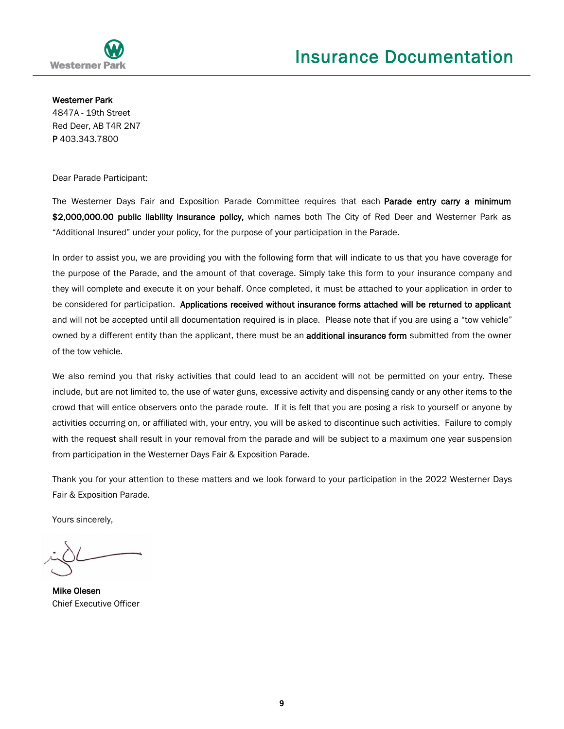

Westerner Park 4847A - 19th Street Red Deer, AB T4R 2N7 P 403.343.7800

Dear Parade Participant:

The Westerner Days Fair and Exposition Parade Committee requires that each Parade entry carry a minimum \$2,000,000.00 public liability insurance policy, which names both The City of Red Deer and Westerner Park as "Additional Insured" under your policy, for the purpose of your participation in the Parade.

In order to assist you, we are providing you with the following form that will indicate to us that you have coverage for the purpose of the Parade, and the amount of that coverage. Simply take this form to your insurance company and they will complete and execute it on your behalf. Once completed, it must be attached to your application in order to be considered for participation. Applications received without insurance forms attached will be returned to applicant and will not be accepted until all documentation required is in place. Please note that if you are using a "tow vehicle" owned by a different entity than the applicant, there must be an additional insurance form submitted from the owner of the tow vehicle.

We also remind you that risky activities that could lead to an accident will not be permitted on your entry. These include, but are not limited to, the use of water guns, excessive activity and dispensing candy or any other items to the crowd that will entice observers onto the parade route. If it is felt that you are posing a risk to yourself or anyone by activities occurring on, or affiliated with, your entry, you will be asked to discontinue such activities. Failure to comply with the request shall result in your removal from the parade and will be subject to a maximum one year suspension from participation in the Westerner Days Fair & Exposition Parade.

Thank you for your attention to these matters and we look forward to your participation in the 2022 Westerner Days Fair & Exposition Parade.

Yours sincerely,

Mike Olesen Chief Executive Officer